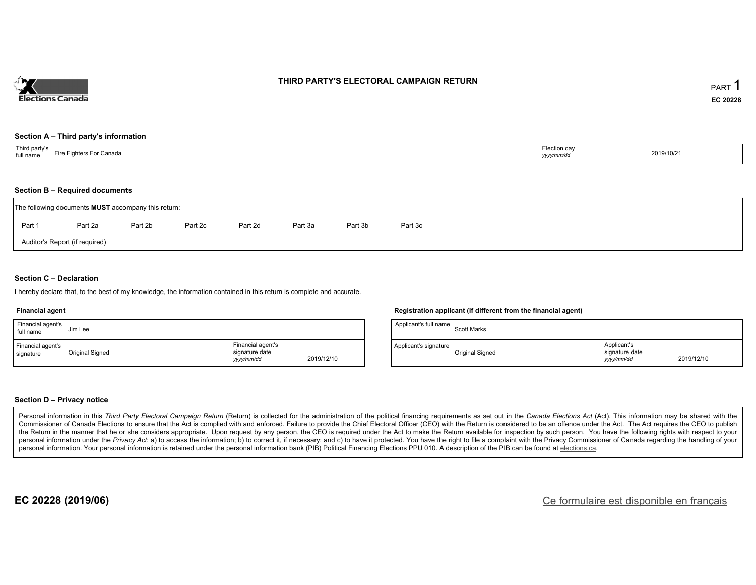

#### **THIRD PARTY'S ELECTORAL CAMPAIGN RETURN**

#### **Section A – Third party's information**

| $+ + +$<br>ird party's<br>⊤ Canada<br>∟iro Γ<br>Fighters For<br>full name<br>. . | ∠lection da∨<br>yyyy/mm/dc | 2019/10/21 |
|----------------------------------------------------------------------------------|----------------------------|------------|
|----------------------------------------------------------------------------------|----------------------------|------------|

#### **Section B – Required documents**

| The following documents <b>MUST</b> accompany this return: |         |         |         |         |         |         |         |
|------------------------------------------------------------|---------|---------|---------|---------|---------|---------|---------|
| Part 1                                                     | Part 2a | Part 2b | Part 2c | Part 2d | Part 3a | Part 3b | Part 3c |
| Auditor's Report (if required)                             |         |         |         |         |         |         |         |

#### **Section C – Declaration**

I hereby declare that, to the best of my knowledge, the information contained in this return is complete and accurate.

#### **Financial agent**

| Financial agent's<br>full name | Jim Lee         |                                                  |            |
|--------------------------------|-----------------|--------------------------------------------------|------------|
| Financial agent's<br>signature | Original Signed | Financial agent's<br>signature date<br>vyy/mm/dd | 2019/12/10 |

#### **Registration applicant (if different from the financial agent)**

| Applicant's full name | <b>Scott Marks</b> |                                             |            |
|-----------------------|--------------------|---------------------------------------------|------------|
| Applicant's signature | Original Signed    | Applicant's<br>signature date<br>vyyy/mm/dd | 2019/12/10 |

#### **Section D – Privacy notice**

Personal information in this Third Party Electoral Campaign Return (Return) is collected for the administration of the political financing requirements as set out in the Canada Elections Act (Act). This information may be Commissioner of Canada Elections to ensure that the Act is complied with and enforced. Failure to provide the Chief Electoral Officer (CEO) with the Return is considered to be an offence under the Act. The Act requires the the Return in the manner that he or she considers appropriate. Upon request by any person, the CEO is required under the Act to make the Return available for inspection by such person. You have the following rights with re personal information under the Privacy Act. a) to access the information; b) to correct it, if necessary; and c) to have it protected. You have the right to file a complaint with the Privacy Commissioner of Canada regardin personal information. Your personal information is retained under the personal information bank (PIB) Political Financing Elections PPU 010. A description of the PIB can be found at elections.ca.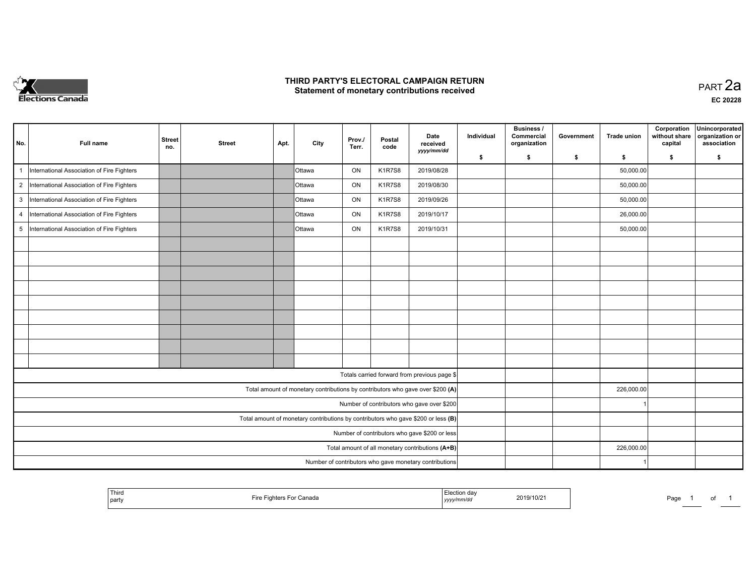

#### **THIRD PARTY'S ELECTORAL CAMPAIGN RETURN HIRD PARTY'S ELECTORAL CAMPAIGN RETURN<br>Statement of monetary contributions received PART 2a PART 2a**

| No.            | Full name                                     | <b>Street</b><br>no. | <b>Street</b> | Apt. | City          | Prov./<br>Terr. | Postal<br>code | Date<br>received<br>yyyy/mm/dd                                                    | Individual | <b>Business /</b><br>Commercial<br>organization | Government | <b>Trade union</b> | Corporation<br>without share<br>capital | Unincorporated<br>organization or<br>association |
|----------------|-----------------------------------------------|----------------------|---------------|------|---------------|-----------------|----------------|-----------------------------------------------------------------------------------|------------|-------------------------------------------------|------------|--------------------|-----------------------------------------|--------------------------------------------------|
|                |                                               |                      |               |      |               |                 |                |                                                                                   | \$         | s.                                              | \$         | s.                 | \$                                      | S.                                               |
|                | International Association of Fire Fighters    |                      |               |      | <b>Ottawa</b> | ON              | <b>K1R7S8</b>  | 2019/08/28                                                                        |            |                                                 |            | 50,000.00          |                                         |                                                  |
|                | 2  International Association of Fire Fighters |                      |               |      | <b>Ottawa</b> | ON              | <b>K1R7S8</b>  | 2019/08/30                                                                        |            |                                                 |            | 50,000.00          |                                         |                                                  |
|                | 3  International Association of Fire Fighters |                      |               |      | Ottawa        | ON              | <b>K1R7S8</b>  | 2019/09/26                                                                        |            |                                                 |            | 50,000.00          |                                         |                                                  |
| $\overline{4}$ | International Association of Fire Fighters    |                      |               |      | <b>Ottawa</b> | ON              | <b>K1R7S8</b>  | 2019/10/17                                                                        |            |                                                 |            | 26,000.00          |                                         |                                                  |
| 5              | International Association of Fire Fighters    |                      |               |      | <b>Ottawa</b> | ON              | <b>K1R7S8</b>  | 2019/10/31                                                                        |            |                                                 |            | 50,000.00          |                                         |                                                  |
|                |                                               |                      |               |      |               |                 |                |                                                                                   |            |                                                 |            |                    |                                         |                                                  |
|                |                                               |                      |               |      |               |                 |                |                                                                                   |            |                                                 |            |                    |                                         |                                                  |
|                |                                               |                      |               |      |               |                 |                |                                                                                   |            |                                                 |            |                    |                                         |                                                  |
|                |                                               |                      |               |      |               |                 |                |                                                                                   |            |                                                 |            |                    |                                         |                                                  |
|                |                                               |                      |               |      |               |                 |                |                                                                                   |            |                                                 |            |                    |                                         |                                                  |
|                |                                               |                      |               |      |               |                 |                |                                                                                   |            |                                                 |            |                    |                                         |                                                  |
|                |                                               |                      |               |      |               |                 |                |                                                                                   |            |                                                 |            |                    |                                         |                                                  |
|                |                                               |                      |               |      |               |                 |                |                                                                                   |            |                                                 |            |                    |                                         |                                                  |
|                |                                               |                      |               |      |               |                 |                |                                                                                   |            |                                                 |            |                    |                                         |                                                  |
|                |                                               |                      |               |      |               |                 |                | Totals carried forward from previous page \$                                      |            |                                                 |            |                    |                                         |                                                  |
|                |                                               |                      |               |      |               |                 |                | Total amount of monetary contributions by contributors who gave over \$200 (A)    |            |                                                 |            | 226,000.00         |                                         |                                                  |
|                |                                               |                      |               |      |               |                 |                | Number of contributors who gave over \$200                                        |            |                                                 |            |                    |                                         |                                                  |
|                |                                               |                      |               |      |               |                 |                | Total amount of monetary contributions by contributors who gave \$200 or less (B) |            |                                                 |            |                    |                                         |                                                  |
|                |                                               |                      |               |      |               |                 |                | Number of contributors who gave \$200 or less                                     |            |                                                 |            |                    |                                         |                                                  |
|                |                                               |                      |               |      |               |                 |                | Total amount of all monetary contributions (A+B)                                  |            |                                                 |            | 226,000.00         |                                         |                                                  |
|                |                                               |                      |               |      |               |                 |                | Number of contributors who gave monetary contributions                            |            |                                                 |            |                    |                                         |                                                  |

| ' Thira<br>  party | <sup>−</sup> '⊴hters For Canada<br>пе | ⊺'ection dav<br>2019/10/21<br>.<br>yyyy/mm/d | Page<br>$\mathbf{u}$<br>______ |
|--------------------|---------------------------------------|----------------------------------------------|--------------------------------|
|--------------------|---------------------------------------|----------------------------------------------|--------------------------------|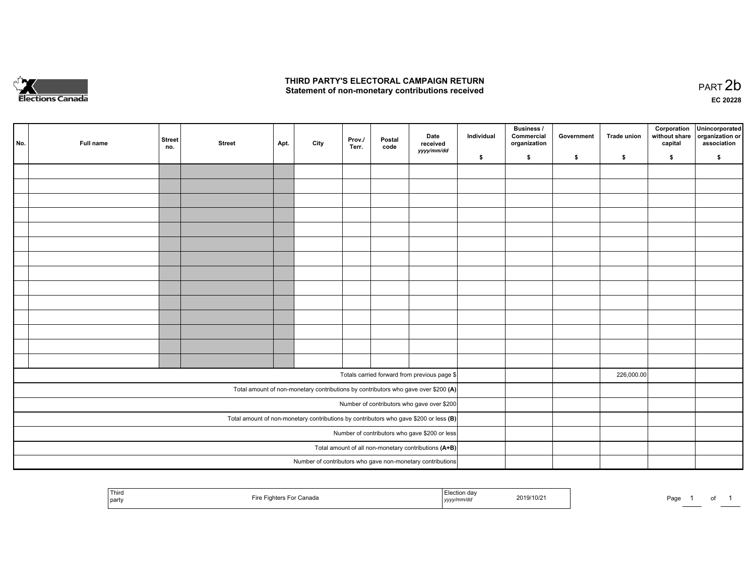

#### **THIRD PARTY'S ELECTORAL CAMPAIGN RETURN**  THIRD PARTY'S ELECTORAL CAMPAIGN RETURN<br>Statement of non-monetary contributions received

| No. | Full name | <b>Street</b><br>no. | <b>Street</b> | Apt. | City | Prov./<br>Terr. | Postal<br>code | Date<br>received<br>yyyy/mm/dd                                                          | Individual | <b>Business /</b><br>Commercial<br>organization | Government | Trade union | Corporation<br>without share<br>capital | Unincorporated<br>organization or<br>association |
|-----|-----------|----------------------|---------------|------|------|-----------------|----------------|-----------------------------------------------------------------------------------------|------------|-------------------------------------------------|------------|-------------|-----------------------------------------|--------------------------------------------------|
|     |           |                      |               |      |      |                 |                |                                                                                         | \$         | \$                                              | \$         | s.          | \$                                      | \$                                               |
|     |           |                      |               |      |      |                 |                |                                                                                         |            |                                                 |            |             |                                         |                                                  |
|     |           |                      |               |      |      |                 |                |                                                                                         |            |                                                 |            |             |                                         |                                                  |
|     |           |                      |               |      |      |                 |                |                                                                                         |            |                                                 |            |             |                                         |                                                  |
|     |           |                      |               |      |      |                 |                |                                                                                         |            |                                                 |            |             |                                         |                                                  |
|     |           |                      |               |      |      |                 |                |                                                                                         |            |                                                 |            |             |                                         |                                                  |
|     |           |                      |               |      |      |                 |                |                                                                                         |            |                                                 |            |             |                                         |                                                  |
|     |           |                      |               |      |      |                 |                |                                                                                         |            |                                                 |            |             |                                         |                                                  |
|     |           |                      |               |      |      |                 |                |                                                                                         |            |                                                 |            |             |                                         |                                                  |
|     |           |                      |               |      |      |                 |                |                                                                                         |            |                                                 |            |             |                                         |                                                  |
|     |           |                      |               |      |      |                 |                |                                                                                         |            |                                                 |            |             |                                         |                                                  |
|     |           |                      |               |      |      |                 |                |                                                                                         |            |                                                 |            |             |                                         |                                                  |
|     |           |                      |               |      |      |                 |                |                                                                                         |            |                                                 |            |             |                                         |                                                  |
|     |           |                      |               |      |      |                 |                |                                                                                         |            |                                                 |            |             |                                         |                                                  |
|     |           |                      |               |      |      |                 |                |                                                                                         |            |                                                 |            |             |                                         |                                                  |
|     |           |                      |               |      |      |                 |                |                                                                                         |            |                                                 |            |             |                                         |                                                  |
|     |           |                      |               |      |      |                 |                | Totals carried forward from previous page \$                                            |            |                                                 |            | 226,000.00  |                                         |                                                  |
|     |           |                      |               |      |      |                 |                | Total amount of non-monetary contributions by contributors who gave over \$200 (A)      |            |                                                 |            |             |                                         |                                                  |
|     |           |                      |               |      |      |                 |                | Number of contributors who gave over \$200                                              |            |                                                 |            |             |                                         |                                                  |
|     |           |                      |               |      |      |                 |                | Total amount of non-monetary contributions by contributors who gave \$200 or less $(B)$ |            |                                                 |            |             |                                         |                                                  |
|     |           |                      |               |      |      |                 |                | Number of contributors who gave \$200 or less                                           |            |                                                 |            |             |                                         |                                                  |
|     |           |                      |               |      |      |                 |                | Total amount of all non-monetary contributions (A+B)                                    |            |                                                 |            |             |                                         |                                                  |
|     |           |                      |               |      |      |                 |                | Number of contributors who gave non-monetary contributions                              |            |                                                 |            |             |                                         |                                                  |

| Third<br>  party | --<br>For Canada<br>Fire<br>antore "<br>. | ∹lection dav<br>2019/10/21<br>yyyy/mm/dd | Page |
|------------------|-------------------------------------------|------------------------------------------|------|
|                  |                                           |                                          |      |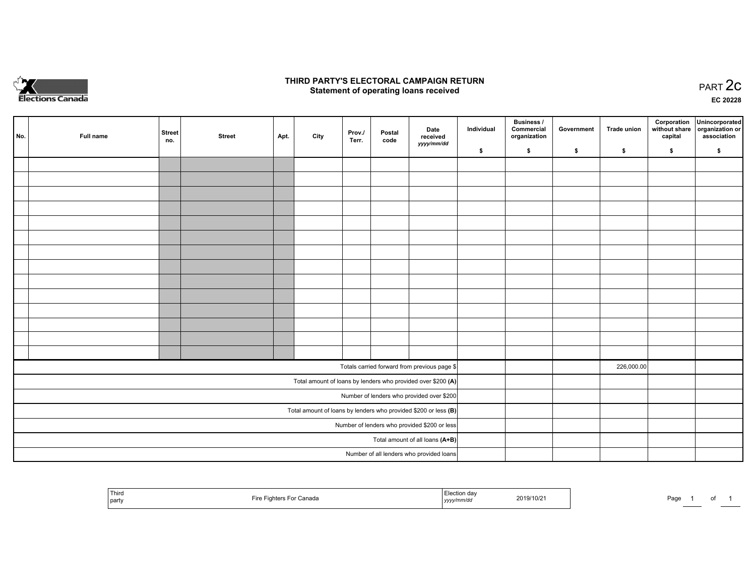

#### **THIRD PARTY'S ELECTORAL CAMPAIGN RETURN STATE:** PRACT OF OPPRESS TO PART 2C STATE STATE STATE STATE STATE STATE STATE STATE STATE STATE STATE STATE STA<br>PART 2C Statement of operating loans received

**EC 20228**

| No. | Full name | <b>Street</b><br>no. | <b>Street</b> | Apt. | City | Prov./<br>Terr. | Postal<br>code | Date<br>received                                                  | Individual | Business /<br>Commercial<br>organization | Government | Trade union | Corporation<br>capital | Unincorporated<br>without share   organization or<br>association |
|-----|-----------|----------------------|---------------|------|------|-----------------|----------------|-------------------------------------------------------------------|------------|------------------------------------------|------------|-------------|------------------------|------------------------------------------------------------------|
|     |           |                      |               |      |      |                 |                | yyyy/mm/dd                                                        | \$         | \$                                       | \$         | $\sqrt{2}$  | \$                     | \$                                                               |
|     |           |                      |               |      |      |                 |                |                                                                   |            |                                          |            |             |                        |                                                                  |
|     |           |                      |               |      |      |                 |                |                                                                   |            |                                          |            |             |                        |                                                                  |
|     |           |                      |               |      |      |                 |                |                                                                   |            |                                          |            |             |                        |                                                                  |
|     |           |                      |               |      |      |                 |                |                                                                   |            |                                          |            |             |                        |                                                                  |
|     |           |                      |               |      |      |                 |                |                                                                   |            |                                          |            |             |                        |                                                                  |
|     |           |                      |               |      |      |                 |                |                                                                   |            |                                          |            |             |                        |                                                                  |
|     |           |                      |               |      |      |                 |                |                                                                   |            |                                          |            |             |                        |                                                                  |
|     |           |                      |               |      |      |                 |                |                                                                   |            |                                          |            |             |                        |                                                                  |
|     |           |                      |               |      |      |                 |                |                                                                   |            |                                          |            |             |                        |                                                                  |
|     |           |                      |               |      |      |                 |                |                                                                   |            |                                          |            |             |                        |                                                                  |
|     |           |                      |               |      |      |                 |                |                                                                   |            |                                          |            |             |                        |                                                                  |
|     |           |                      |               |      |      |                 |                |                                                                   |            |                                          |            |             |                        |                                                                  |
|     |           |                      |               |      |      |                 |                |                                                                   |            |                                          |            |             |                        |                                                                  |
|     |           |                      |               |      |      |                 |                |                                                                   |            |                                          |            |             |                        |                                                                  |
|     |           |                      |               |      |      |                 |                | Totals carried forward from previous page \$                      |            |                                          |            | 226,000.00  |                        |                                                                  |
|     |           |                      |               |      |      |                 |                | Total amount of loans by lenders who provided over \$200 (A)      |            |                                          |            |             |                        |                                                                  |
|     |           |                      |               |      |      |                 |                | Number of lenders who provided over \$200                         |            |                                          |            |             |                        |                                                                  |
|     |           |                      |               |      |      |                 |                | Total amount of loans by lenders who provided \$200 or less $(B)$ |            |                                          |            |             |                        |                                                                  |
|     |           |                      |               |      |      |                 |                | Number of lenders who provided \$200 or less                      |            |                                          |            |             |                        |                                                                  |
|     |           |                      |               |      |      |                 |                | Total amount of all loans (A+B)                                   |            |                                          |            |             |                        |                                                                  |
|     |           |                      |               |      |      |                 |                | Number of all lenders who provided loans                          |            |                                          |            |             |                        |                                                                  |

| <sup>1</sup> Third<br>party | ∵Canada<br>inhters | 'ection dav<br>yyyy/mm/dd | 2019/10/21 | Page |
|-----------------------------|--------------------|---------------------------|------------|------|
|-----------------------------|--------------------|---------------------------|------------|------|

1 of 1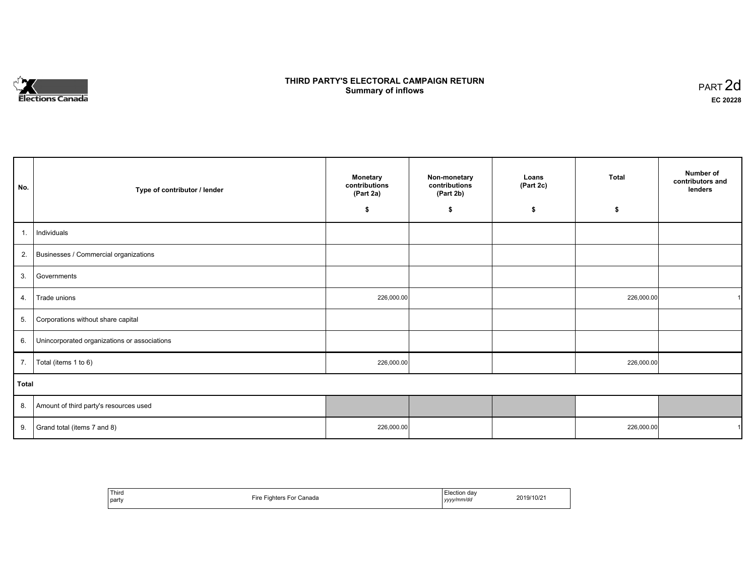# **Elections Canada**

## **THIRD PARTY'S ELECTORAL CAMPAIGN RETURN Summary of inflows**

| PART <sub>2d</sub> |  |
|--------------------|--|
| EC 20228           |  |

| No.            | Type of contributor / lender                 | <b>Monetary</b><br>contributions<br>(Part 2a) | Non-monetary<br>contributions<br>(Part 2b) | Loans<br>(Part 2c) | <b>Total</b> | Number of<br>contributors and<br>lenders |
|----------------|----------------------------------------------|-----------------------------------------------|--------------------------------------------|--------------------|--------------|------------------------------------------|
|                |                                              | \$                                            | \$                                         | \$                 | \$           |                                          |
| $\mathbf{1}$ . | Individuals                                  |                                               |                                            |                    |              |                                          |
| 2.             | Businesses / Commercial organizations        |                                               |                                            |                    |              |                                          |
| 3.             | Governments                                  |                                               |                                            |                    |              |                                          |
| 4.             | Trade unions                                 | 226,000.00                                    |                                            |                    | 226,000.00   |                                          |
| 5.             | Corporations without share capital           |                                               |                                            |                    |              |                                          |
| 6.             | Unincorporated organizations or associations |                                               |                                            |                    |              |                                          |
| 7.             | Total (items 1 to 6)                         | 226,000.00                                    |                                            |                    | 226,000.00   |                                          |
| Total          |                                              |                                               |                                            |                    |              |                                          |
| 8.             | Amount of third party's resources used       |                                               |                                            |                    |              |                                          |
| 9.             | Grand total (items 7 and 8)                  | 226,000.00                                    |                                            |                    | 226,000.00   |                                          |

| Third<br>party | <b>Tiro</b> H<br>Fighters For Canada<br>11 C | Election dav<br>yyyy/mm/dd | 2019/10/21 |
|----------------|----------------------------------------------|----------------------------|------------|
|----------------|----------------------------------------------|----------------------------|------------|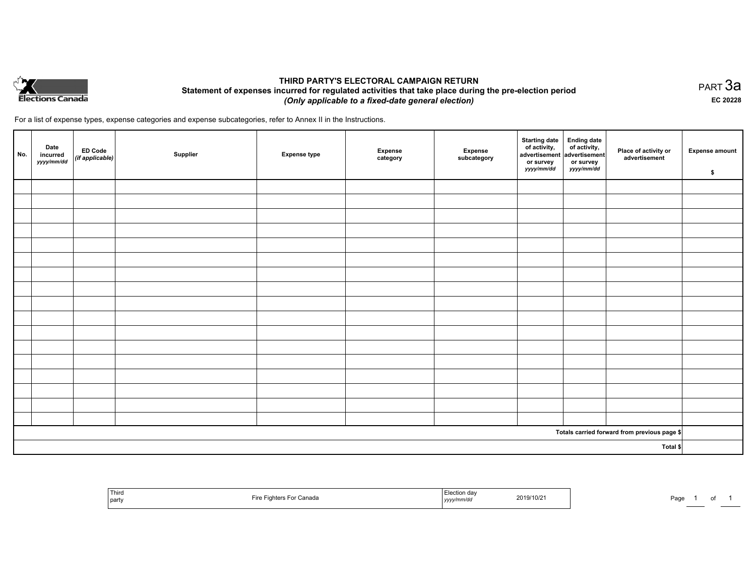

### **THIRD PARTY'S ELECTORAL CAMPAIGN RETURN Statement of expenses incurred for regulated activities that take place during the pre-election period**  *(Only applicable to a fixed-date general election)*

For a list of expense types, expense categories and expense subcategories, refer to Annex II in the Instructions.

| No. | Date<br>incurred<br>yyyy/mm/dd | <b>ED Code</b><br>(if applicable) | Supplier | <b>Expense type</b> | <b>Expense</b><br>category | Expense<br>subcategory | <b>Starting date</b><br>of activity,<br>advertisement<br>or survey<br>yyyy/mm/dd | Ending date<br>of activity,<br>advertisement<br>or survey<br>yyyy/mm/dd | Place of activity or<br>advertisement        | <b>Expense amount</b><br>\$ |
|-----|--------------------------------|-----------------------------------|----------|---------------------|----------------------------|------------------------|----------------------------------------------------------------------------------|-------------------------------------------------------------------------|----------------------------------------------|-----------------------------|
|     |                                |                                   |          |                     |                            |                        |                                                                                  |                                                                         |                                              |                             |
|     |                                |                                   |          |                     |                            |                        |                                                                                  |                                                                         |                                              |                             |
|     |                                |                                   |          |                     |                            |                        |                                                                                  |                                                                         |                                              |                             |
|     |                                |                                   |          |                     |                            |                        |                                                                                  |                                                                         |                                              |                             |
|     |                                |                                   |          |                     |                            |                        |                                                                                  |                                                                         |                                              |                             |
|     |                                |                                   |          |                     |                            |                        |                                                                                  |                                                                         |                                              |                             |
|     |                                |                                   |          |                     |                            |                        |                                                                                  |                                                                         |                                              |                             |
|     |                                |                                   |          |                     |                            |                        |                                                                                  |                                                                         |                                              |                             |
|     |                                |                                   |          |                     |                            |                        |                                                                                  |                                                                         |                                              |                             |
|     |                                |                                   |          |                     |                            |                        |                                                                                  |                                                                         |                                              |                             |
|     |                                |                                   |          |                     |                            |                        |                                                                                  |                                                                         |                                              |                             |
|     |                                |                                   |          |                     |                            |                        |                                                                                  |                                                                         |                                              |                             |
|     |                                |                                   |          |                     |                            |                        |                                                                                  |                                                                         |                                              |                             |
|     |                                |                                   |          |                     |                            |                        |                                                                                  |                                                                         |                                              |                             |
|     |                                |                                   |          |                     |                            |                        |                                                                                  |                                                                         |                                              |                             |
|     |                                |                                   |          |                     |                            |                        |                                                                                  |                                                                         |                                              |                             |
|     |                                |                                   |          |                     |                            |                        |                                                                                  |                                                                         |                                              |                             |
|     |                                |                                   |          |                     |                            |                        |                                                                                  |                                                                         | Totals carried forward from previous page \$ |                             |
|     | Total \$                       |                                   |          |                     |                            |                        |                                                                                  |                                                                         |                                              |                             |

| ' Third<br>  party | Canada<br>⊏ire<br>. | …un dav<br>2019/10/21<br>.<br>nmrac<br>,,,,,,, | Pagr |
|--------------------|---------------------|------------------------------------------------|------|
|--------------------|---------------------|------------------------------------------------|------|

PART 3a **EC 20228**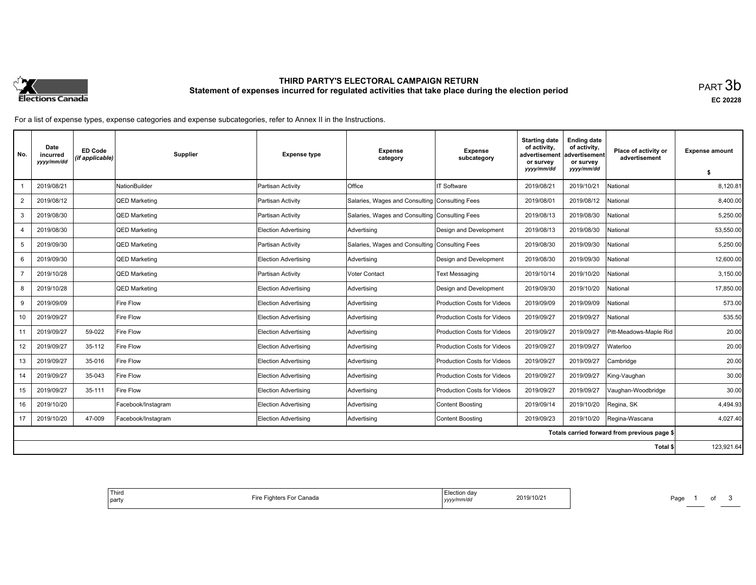

# **THIRD PARTY'S ELECTORAL CAMPAIGN RETURN Statement of expenses incurred for regulated activities that take place during the election period**<br>PART  $3\mathsf{b}$

**EC 20228**

For a list of expense types, expense categories and expense subcategories, refer to Annex II in the Instructions.

| No.            | Date<br>incurred<br>yyyy/mm/dd | ED Code<br>(if applicable) | Supplier             | <b>Expense type</b>         | <b>Expense</b><br>category                     | <b>Expense</b><br>subcategory      | <b>Starting date</b><br>of activity,<br>advertisement<br>or survey | <b>Ending date</b><br>of activity,<br>advertisement<br>or survey | Place of activity or<br>advertisement        | <b>Expense amount</b> |
|----------------|--------------------------------|----------------------------|----------------------|-----------------------------|------------------------------------------------|------------------------------------|--------------------------------------------------------------------|------------------------------------------------------------------|----------------------------------------------|-----------------------|
|                |                                |                            |                      |                             |                                                |                                    | yyyy/mm/dd                                                         | yyyy/mm/dd                                                       |                                              | \$                    |
|                | 2019/08/21                     |                            | <b>NationBuilder</b> | Partisan Activity           | Office                                         | <b>IT Software</b>                 | 2019/08/21                                                         | 2019/10/21                                                       | National                                     | 8,120.81              |
| $\overline{2}$ | 2019/08/12                     |                            | QED Marketing        | Partisan Activity           | Salaries, Wages and Consulting Consulting Fees |                                    | 2019/08/01                                                         | 2019/08/12                                                       | National                                     | 8,400.00              |
| 3              | 2019/08/30                     |                            | <b>QED Marketing</b> | Partisan Activity           | Salaries, Wages and Consulting Consulting Fees |                                    | 2019/08/13                                                         | 2019/08/30                                                       | National                                     | 5.250.00              |
| $\overline{4}$ | 2019/08/30                     |                            | QED Marketing        | <b>Election Advertising</b> | Advertising                                    | Design and Development             | 2019/08/13                                                         | 2019/08/30                                                       | National                                     | 53,550.00             |
| 5              | 2019/09/30                     |                            | QED Marketing        | Partisan Activity           | Salaries, Wages and Consulting                 | Consulting Fees                    | 2019/08/30                                                         | 2019/09/30                                                       | National                                     | 5,250.00              |
| 6              | 2019/09/30                     |                            | <b>QED Marketing</b> | Election Advertising        | Advertising                                    | Design and Development             | 2019/08/30                                                         | 2019/09/30                                                       | Vational                                     | 12,600.00             |
|                | 2019/10/28                     |                            | QED Marketing        | Partisan Activity           | Voter Contact                                  | <b>Text Messaging</b>              | 2019/10/14                                                         | 2019/10/20                                                       | National                                     | 3,150.00              |
| 8              | 2019/10/28                     |                            | <b>QED Marketing</b> | <b>Election Advertising</b> | Advertising                                    | Design and Development             | 2019/09/30                                                         | 2019/10/20                                                       | National                                     | 17,850.00             |
| 9              | 2019/09/09                     |                            | <b>Fire Flow</b>     | Election Advertising        | Advertising                                    | <b>Production Costs for Videos</b> | 2019/09/09                                                         | 2019/09/09                                                       | National                                     | 573.00                |
| 10             | 2019/09/27                     |                            | <b>Fire Flow</b>     | <b>Election Advertising</b> | Advertising                                    | <b>Production Costs for Videos</b> | 2019/09/27                                                         | 2019/09/27                                                       | National                                     | 535.50                |
| 11             | 2019/09/27                     | 59-022                     | <b>Fire Flow</b>     | Election Advertising        | Advertising                                    | <b>Production Costs for Videos</b> | 2019/09/27                                                         | 2019/09/27                                                       | Pitt-Meadows-Maple Rid                       | 20.00                 |
| 12             | 2019/09/27                     | 35-112                     | <b>Fire Flow</b>     | Election Advertising        | Advertising                                    | <b>Production Costs for Videos</b> | 2019/09/27                                                         | 2019/09/27                                                       | Waterloo                                     | 20.00                 |
| 13             | 2019/09/27                     | 35-016                     | Fire Flow            | <b>Election Advertising</b> | Advertising                                    | <b>Production Costs for Videos</b> | 2019/09/27                                                         | 2019/09/27                                                       | Cambridge                                    | 20.00                 |
| 14             | 2019/09/27                     | 35-043                     | <b>Fire Flow</b>     | <b>Election Advertising</b> | Advertising                                    | <b>Production Costs for Videos</b> | 2019/09/27                                                         | 2019/09/27                                                       | King-Vaughan                                 | 30.00                 |
| 15             | 2019/09/27                     | 35-111                     | Fire Flow            | Election Advertising        | Advertising                                    | <b>Production Costs for Videos</b> | 2019/09/27                                                         | 2019/09/27                                                       | Vaughan-Woodbridge                           | 30.00                 |
| 16             | 2019/10/20                     |                            | Facebook/Instagram   | Election Advertising        | Advertising                                    | <b>Content Boosting</b>            | 2019/09/14                                                         | 2019/10/20                                                       | Regina, SK                                   | 4,494.93              |
| 17             | 2019/10/20                     | 47-009                     | Facebook/Instagram   | <b>Election Advertising</b> | Advertising                                    | <b>Content Boosting</b>            | 2019/09/23                                                         | 2019/10/20                                                       | Regina-Wascana                               | 4.027.40              |
|                |                                |                            |                      |                             |                                                |                                    |                                                                    |                                                                  | Totals carried forward from previous page \$ |                       |
|                |                                |                            |                      |                             |                                                |                                    |                                                                    |                                                                  | Total \$                                     | 123,921.64            |

| Third<br>Election dav<br>2019/10/21<br>Fighters For Canada<br>ire:<br><i>i</i> party<br>yyyy/mm/dd |
|----------------------------------------------------------------------------------------------------|
|----------------------------------------------------------------------------------------------------|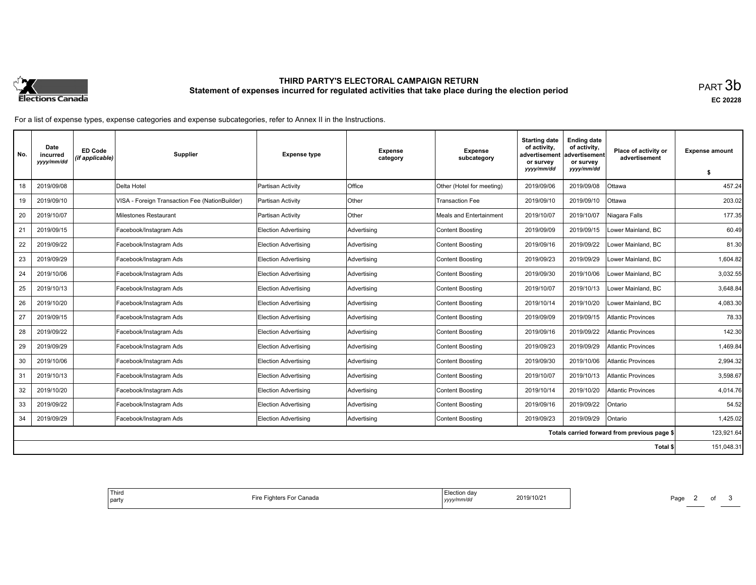

# **THIRD PARTY'S ELECTORAL CAMPAIGN RETURN Statement of expenses incurred for regulated activities that take place during the election period**<br>PART  $3\mathsf{b}$

**EC 20228**

For a list of expense types, expense categories and expense subcategories, refer to Annex II in the Instructions.

| No. | Date<br>incurred<br>yyyy/mm/dd | <b>ED Code</b><br>(if applicable) | <b>Supplier</b>                                | <b>Expense type</b>         | Expense<br>category | Expense<br>subcategory         | <b>Starting date</b><br>of activity,<br>advertisement<br>or survey | <b>Ending date</b><br>of activity,<br>advertisement<br>or survey | Place of activity or<br>advertisement        | <b>Expense amount</b> |
|-----|--------------------------------|-----------------------------------|------------------------------------------------|-----------------------------|---------------------|--------------------------------|--------------------------------------------------------------------|------------------------------------------------------------------|----------------------------------------------|-----------------------|
|     |                                |                                   |                                                |                             |                     |                                | yyyy/mm/dd                                                         | yyyy/mm/dd                                                       |                                              | S.                    |
| 18  | 2019/09/08                     |                                   | Delta Hotel                                    | Partisan Activity           | Office              | Other (Hotel for meeting)      | 2019/09/06                                                         | 2019/09/08                                                       | Ottawa                                       | 457.24                |
| 19  | 2019/09/10                     |                                   | VISA - Foreign Transaction Fee (NationBuilder) | Partisan Activity           | Other               | Transaction Fee                | 2019/09/10                                                         | 2019/09/10                                                       | Ottawa                                       | 203.02                |
| 20  | 2019/10/07                     |                                   | Milestones Restaurant                          | Partisan Activity           | Other               | <b>Meals and Entertainment</b> | 2019/10/07                                                         | 2019/10/07                                                       | Niagara Falls                                | 177.35                |
| 21  | 2019/09/15                     |                                   | Facebook/Instagram Ads                         | <b>Election Advertising</b> | Advertising         | <b>Content Boosting</b>        | 2019/09/09                                                         | 2019/09/15                                                       | Lower Mainland, BC                           | 60.49                 |
| 22  | 2019/09/22                     |                                   | Facebook/Instagram Ads                         | <b>Election Advertising</b> | Advertising         | <b>Content Boosting</b>        | 2019/09/16                                                         | 2019/09/22                                                       | Lower Mainland, BC                           | 81.30                 |
| 23  | 2019/09/29                     |                                   | Facebook/Instagram Ads                         | Election Advertising        | Advertising         | <b>Content Boosting</b>        | 2019/09/23                                                         | 2019/09/29                                                       | Lower Mainland, BC                           | 1,604.82              |
| 24  | 2019/10/06                     |                                   | Facebook/Instagram Ads                         | <b>Election Advertising</b> | Advertising         | <b>Content Boosting</b>        | 2019/09/30                                                         | 2019/10/06                                                       | Lower Mainland, BC                           | 3,032.55              |
| 25  | 2019/10/13                     |                                   | Facebook/Instagram Ads                         | Election Advertising        | Advertising         | <b>Content Boosting</b>        | 2019/10/07                                                         | 2019/10/13                                                       | Lower Mainland, BC                           | 3.648.84              |
| 26  | 2019/10/20                     |                                   | Facebook/Instagram Ads                         | <b>Election Advertising</b> | Advertising         | <b>Content Boosting</b>        | 2019/10/14                                                         | 2019/10/20                                                       | Lower Mainland, BC                           | 4,083.30              |
| 27  | 2019/09/15                     |                                   | Facebook/Instagram Ads                         | <b>Election Advertising</b> | Advertising         | <b>Content Boosting</b>        | 2019/09/09                                                         | 2019/09/15                                                       | Atlantic Provinces                           | 78.33                 |
| 28  | 2019/09/22                     |                                   | Facebook/Instagram Ads                         | <b>Election Advertising</b> | Advertising         | <b>Content Boosting</b>        | 2019/09/16                                                         | 2019/09/22                                                       | <b>Atlantic Provinces</b>                    | 142.30                |
| 29  | 2019/09/29                     |                                   | Facebook/Instagram Ads                         | <b>Election Advertising</b> | Advertising         | <b>Content Boosting</b>        | 2019/09/23                                                         | 2019/09/29                                                       | <b>Atlantic Provinces</b>                    | 1,469.84              |
| 30  | 2019/10/06                     |                                   | Facebook/Instagram Ads                         | Election Advertising        | Advertising         | <b>Content Boosting</b>        | 2019/09/30                                                         | 2019/10/06                                                       | Atlantic Provinces                           | 2,994.32              |
| 31  | 2019/10/13                     |                                   | Facebook/Instagram Ads                         | <b>Election Advertising</b> | Advertising         | <b>Content Boosting</b>        | 2019/10/07                                                         | 2019/10/13                                                       | <b>Atlantic Provinces</b>                    | 3,598.67              |
| 32  | 2019/10/20                     |                                   | Facebook/Instagram Ads                         | Election Advertising        | Advertising         | <b>Content Boosting</b>        | 2019/10/14                                                         | 2019/10/20                                                       | <b>Atlantic Provinces</b>                    | 4.014.76              |
| 33  | 2019/09/22                     |                                   | Facebook/Instagram Ads                         | <b>Election Advertising</b> | Advertising         | <b>Content Boosting</b>        | 2019/09/16                                                         | 2019/09/22                                                       | Ontario                                      | 54.52                 |
| 34  | 2019/09/29                     |                                   | Facebook/Instagram Ads                         | <b>Election Advertising</b> | Advertising         | <b>Content Boosting</b>        | 2019/09/23                                                         | 2019/09/29                                                       | Ontario                                      | 1,425.02              |
|     |                                |                                   |                                                |                             |                     |                                |                                                                    |                                                                  | Totals carried forward from previous page \$ | 123,921.64            |
|     |                                |                                   |                                                |                             |                     |                                |                                                                    |                                                                  | Total \$                                     | 151,048.31            |

| Election day<br>2019/10/21<br>$-$<br>Fighters For Canada<br>Fire<br>yyyy/mm/dd |
|--------------------------------------------------------------------------------|
|--------------------------------------------------------------------------------|

Page 2 of 3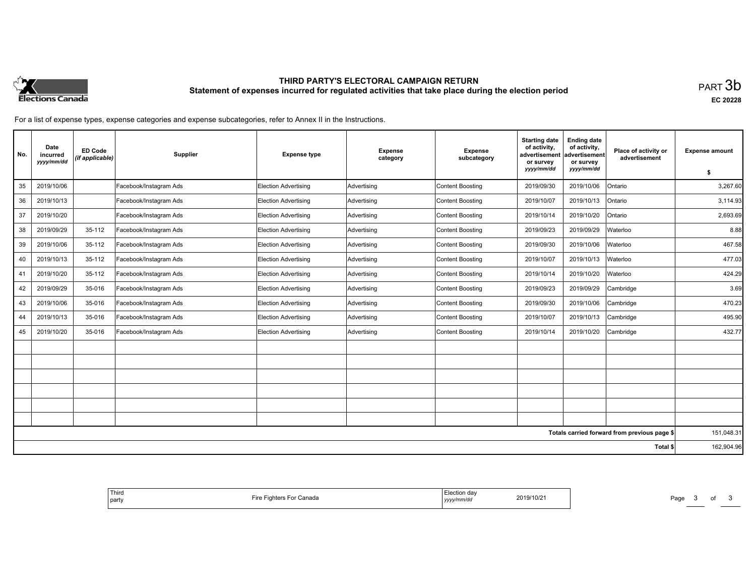

# **THIRD PARTY'S ELECTORAL CAMPAIGN RETURN Statement of expenses incurred for regulated activities that take place during the election period**<br>PART  $3\mathsf{b}$

**EC 20228**

For a list of expense types, expense categories and expense subcategories, refer to Annex II in the Instructions.

| No. | Date<br>incurred<br>yyyy/mm/dd | <b>ED Code</b><br>(if applicable) | Supplier               | <b>Expense type</b>         | <b>Expense</b><br>category | <b>Expense</b><br>subcategory | <b>Starting date</b><br>of activity,<br>advertisement<br>or survey<br>yyyy/mm/dd | <b>Ending date</b><br>of activity,<br>advertisement<br>or survey<br>yyyy/mm/dd | Place of activity or<br>advertisement        | <b>Expense amount</b><br>Ŝ. |  |  |
|-----|--------------------------------|-----------------------------------|------------------------|-----------------------------|----------------------------|-------------------------------|----------------------------------------------------------------------------------|--------------------------------------------------------------------------------|----------------------------------------------|-----------------------------|--|--|
| 35  | 2019/10/06                     |                                   | Facebook/Instagram Ads | <b>Election Advertising</b> | Advertising                | Content Boosting              | 2019/09/30                                                                       | 2019/10/06                                                                     | <b>Ontario</b>                               | 3,267.60                    |  |  |
| 36  | 2019/10/13                     |                                   | Facebook/Instagram Ads | <b>Election Advertising</b> | Advertising                | Content Boosting              | 2019/10/07                                                                       | 2019/10/13                                                                     | Ontario                                      | 3,114.93                    |  |  |
| 37  | 2019/10/20                     |                                   | Facebook/Instagram Ads | Election Advertising        | Advertising                | Content Boosting              | 2019/10/14                                                                       | 2019/10/20                                                                     | Ontario                                      | 2,693.69                    |  |  |
| 38  | 2019/09/29                     | 35-112                            | Facebook/Instagram Ads | <b>Election Advertising</b> | Advertising                | Content Boosting              | 2019/09/23                                                                       | 2019/09/29                                                                     | Waterloo                                     | 8.88                        |  |  |
| 39  | 2019/10/06                     | 35-112                            | Facebook/Instagram Ads | Election Advertising        | Advertising                | Content Boosting              | 2019/09/30                                                                       | 2019/10/06                                                                     | Waterloo                                     | 467.58                      |  |  |
| 40  | 2019/10/13                     | 35-112                            | Facebook/Instagram Ads | Election Advertising        | Advertising                | Content Boosting              | 2019/10/07                                                                       | 2019/10/13                                                                     | Waterloo                                     | 477.03                      |  |  |
| 41  | 2019/10/20                     | 35-112                            | Facebook/Instagram Ads | <b>Election Advertising</b> | Advertising                | Content Boosting              | 2019/10/14                                                                       | 2019/10/20                                                                     | Waterloo                                     | 424.29                      |  |  |
| 42  | 2019/09/29                     | 35-016                            | Facebook/Instagram Ads | <b>Election Advertising</b> | Advertising                | Content Boosting              | 2019/09/23                                                                       | 2019/09/29                                                                     | Cambridge                                    | 3.69                        |  |  |
| 43  | 2019/10/06                     | 35-016                            | Facebook/Instagram Ads | Election Advertising        | Advertising                | Content Boosting              | 2019/09/30                                                                       | 2019/10/06                                                                     | Cambridge                                    | 470.23                      |  |  |
| 44  | 2019/10/13                     | 35-016                            | Facebook/Instagram Ads | <b>Election Advertising</b> | Advertising                | Content Boosting              | 2019/10/07                                                                       | 2019/10/13                                                                     | Cambridge                                    | 495.90                      |  |  |
| 45  | 2019/10/20                     | 35-016                            | Facebook/Instagram Ads | <b>Election Advertising</b> | Advertising                | Content Boosting              | 2019/10/14                                                                       | 2019/10/20                                                                     | Cambridge                                    | 432.77                      |  |  |
|     |                                |                                   |                        |                             |                            |                               |                                                                                  |                                                                                |                                              |                             |  |  |
|     |                                |                                   |                        |                             |                            |                               |                                                                                  |                                                                                |                                              |                             |  |  |
|     |                                |                                   |                        |                             |                            |                               |                                                                                  |                                                                                |                                              |                             |  |  |
|     |                                |                                   |                        |                             |                            |                               |                                                                                  |                                                                                |                                              |                             |  |  |
|     |                                |                                   |                        |                             |                            |                               |                                                                                  |                                                                                |                                              |                             |  |  |
|     |                                |                                   |                        |                             |                            |                               |                                                                                  |                                                                                |                                              |                             |  |  |
|     |                                |                                   |                        |                             |                            |                               |                                                                                  |                                                                                | Totals carried forward from previous page \$ | 151,048.31                  |  |  |
|     |                                |                                   |                        |                             | Total \$                   |                               |                                                                                  |                                                                                |                                              |                             |  |  |

| tion dav<br>11 III U<br>2010/11<br>anada<br>.<br>nari<br>mm/dd<br>.<br>va<br>,,,,, |
|------------------------------------------------------------------------------------|
|------------------------------------------------------------------------------------|

Page 3 of 3